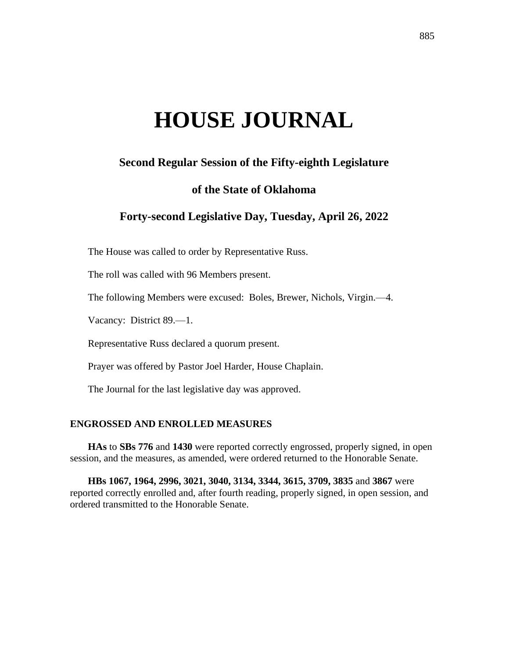# **HOUSE JOURNAL**

# **Second Regular Session of the Fifty-eighth Legislature**

## **of the State of Oklahoma**

# **Forty-second Legislative Day, Tuesday, April 26, 2022**

The House was called to order by Representative Russ.

The roll was called with 96 Members present.

The following Members were excused: Boles, Brewer, Nichols, Virgin.—4.

Vacancy: District 89.—1.

Representative Russ declared a quorum present.

Prayer was offered by Pastor Joel Harder, House Chaplain.

The Journal for the last legislative day was approved.

## **ENGROSSED AND ENROLLED MEASURES**

**HAs** to **SBs 776** and **1430** were reported correctly engrossed, properly signed, in open session, and the measures, as amended, were ordered returned to the Honorable Senate.

**HBs 1067, 1964, 2996, 3021, 3040, 3134, 3344, 3615, 3709, 3835** and **3867** were reported correctly enrolled and, after fourth reading, properly signed, in open session, and ordered transmitted to the Honorable Senate.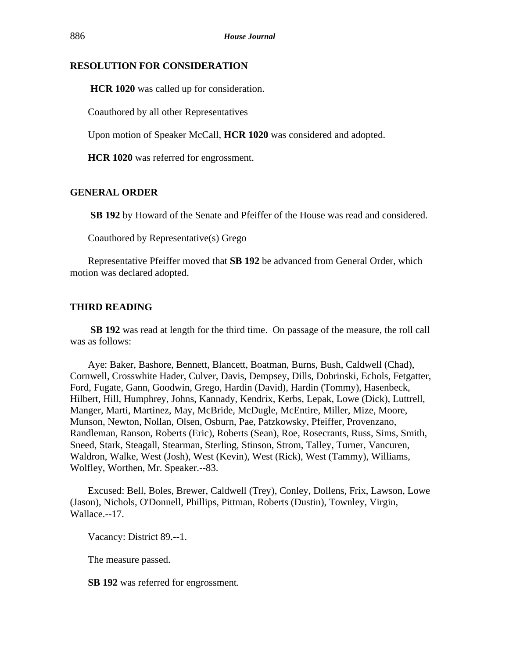## **RESOLUTION FOR CONSIDERATION**

**HCR 1020** was called up for consideration.

Coauthored by all other Representatives

Upon motion of Speaker McCall, **HCR 1020** was considered and adopted.

**HCR 1020** was referred for engrossment.

## **GENERAL ORDER**

**SB 192** by Howard of the Senate and Pfeiffer of the House was read and considered.

Coauthored by Representative(s) Grego

Representative Pfeiffer moved that **SB 192** be advanced from General Order, which motion was declared adopted.

## **THIRD READING**

**SB 192** was read at length for the third time. On passage of the measure, the roll call was as follows:

Aye: Baker, Bashore, Bennett, Blancett, Boatman, Burns, Bush, Caldwell (Chad), Cornwell, Crosswhite Hader, Culver, Davis, Dempsey, Dills, Dobrinski, Echols, Fetgatter, Ford, Fugate, Gann, Goodwin, Grego, Hardin (David), Hardin (Tommy), Hasenbeck, Hilbert, Hill, Humphrey, Johns, Kannady, Kendrix, Kerbs, Lepak, Lowe (Dick), Luttrell, Manger, Marti, Martinez, May, McBride, McDugle, McEntire, Miller, Mize, Moore, Munson, Newton, Nollan, Olsen, Osburn, Pae, Patzkowsky, Pfeiffer, Provenzano, Randleman, Ranson, Roberts (Eric), Roberts (Sean), Roe, Rosecrants, Russ, Sims, Smith, Sneed, Stark, Steagall, Stearman, Sterling, Stinson, Strom, Talley, Turner, Vancuren, Waldron, Walke, West (Josh), West (Kevin), West (Rick), West (Tammy), Williams, Wolfley, Worthen, Mr. Speaker.--83.

Excused: Bell, Boles, Brewer, Caldwell (Trey), Conley, Dollens, Frix, Lawson, Lowe (Jason), Nichols, O'Donnell, Phillips, Pittman, Roberts (Dustin), Townley, Virgin, Wallace.--17.

Vacancy: District 89.--1.

The measure passed.

**SB 192** was referred for engrossment.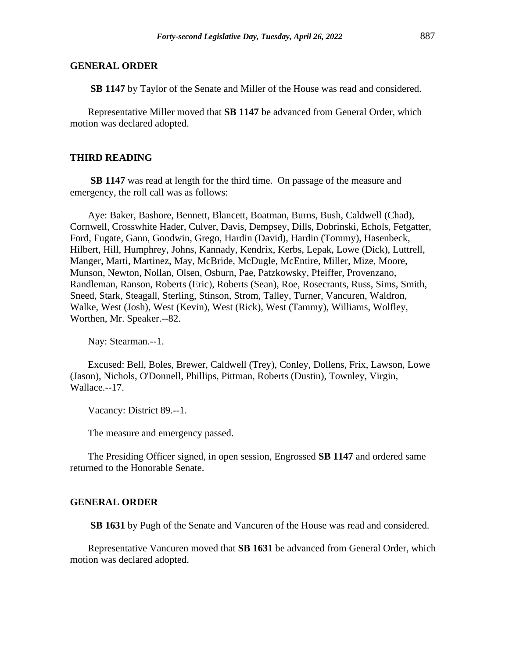**SB 1147** by Taylor of the Senate and Miller of the House was read and considered.

Representative Miller moved that **SB 1147** be advanced from General Order, which motion was declared adopted.

## **THIRD READING**

**SB 1147** was read at length for the third time. On passage of the measure and emergency, the roll call was as follows:

Aye: Baker, Bashore, Bennett, Blancett, Boatman, Burns, Bush, Caldwell (Chad), Cornwell, Crosswhite Hader, Culver, Davis, Dempsey, Dills, Dobrinski, Echols, Fetgatter, Ford, Fugate, Gann, Goodwin, Grego, Hardin (David), Hardin (Tommy), Hasenbeck, Hilbert, Hill, Humphrey, Johns, Kannady, Kendrix, Kerbs, Lepak, Lowe (Dick), Luttrell, Manger, Marti, Martinez, May, McBride, McDugle, McEntire, Miller, Mize, Moore, Munson, Newton, Nollan, Olsen, Osburn, Pae, Patzkowsky, Pfeiffer, Provenzano, Randleman, Ranson, Roberts (Eric), Roberts (Sean), Roe, Rosecrants, Russ, Sims, Smith, Sneed, Stark, Steagall, Sterling, Stinson, Strom, Talley, Turner, Vancuren, Waldron, Walke, West (Josh), West (Kevin), West (Rick), West (Tammy), Williams, Wolfley, Worthen, Mr. Speaker.--82.

Nay: Stearman.--1.

Excused: Bell, Boles, Brewer, Caldwell (Trey), Conley, Dollens, Frix, Lawson, Lowe (Jason), Nichols, O'Donnell, Phillips, Pittman, Roberts (Dustin), Townley, Virgin, Wallace.--17.

Vacancy: District 89.--1.

The measure and emergency passed.

The Presiding Officer signed, in open session, Engrossed **SB 1147** and ordered same returned to the Honorable Senate.

#### **GENERAL ORDER**

**SB 1631** by Pugh of the Senate and Vancuren of the House was read and considered.

Representative Vancuren moved that **SB 1631** be advanced from General Order, which motion was declared adopted.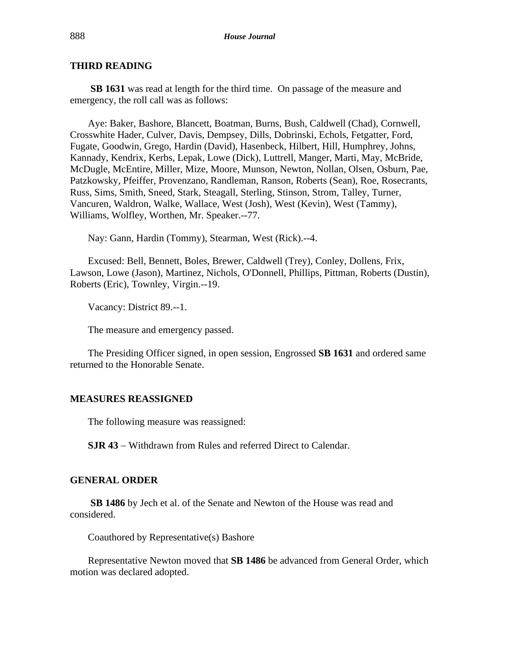**SB 1631** was read at length for the third time. On passage of the measure and emergency, the roll call was as follows:

Aye: Baker, Bashore, Blancett, Boatman, Burns, Bush, Caldwell (Chad), Cornwell, Crosswhite Hader, Culver, Davis, Dempsey, Dills, Dobrinski, Echols, Fetgatter, Ford, Fugate, Goodwin, Grego, Hardin (David), Hasenbeck, Hilbert, Hill, Humphrey, Johns, Kannady, Kendrix, Kerbs, Lepak, Lowe (Dick), Luttrell, Manger, Marti, May, McBride, McDugle, McEntire, Miller, Mize, Moore, Munson, Newton, Nollan, Olsen, Osburn, Pae, Patzkowsky, Pfeiffer, Provenzano, Randleman, Ranson, Roberts (Sean), Roe, Rosecrants, Russ, Sims, Smith, Sneed, Stark, Steagall, Sterling, Stinson, Strom, Talley, Turner, Vancuren, Waldron, Walke, Wallace, West (Josh), West (Kevin), West (Tammy), Williams, Wolfley, Worthen, Mr. Speaker.--77.

Nay: Gann, Hardin (Tommy), Stearman, West (Rick).--4.

Excused: Bell, Bennett, Boles, Brewer, Caldwell (Trey), Conley, Dollens, Frix, Lawson, Lowe (Jason), Martinez, Nichols, O'Donnell, Phillips, Pittman, Roberts (Dustin), Roberts (Eric), Townley, Virgin.--19.

Vacancy: District 89.--1.

The measure and emergency passed.

The Presiding Officer signed, in open session, Engrossed **SB 1631** and ordered same returned to the Honorable Senate.

## **MEASURES REASSIGNED**

The following measure was reassigned:

**SJR 43** − Withdrawn from Rules and referred Direct to Calendar.

## **GENERAL ORDER**

**SB 1486** by Jech et al. of the Senate and Newton of the House was read and considered.

Coauthored by Representative(s) Bashore

Representative Newton moved that **SB 1486** be advanced from General Order, which motion was declared adopted.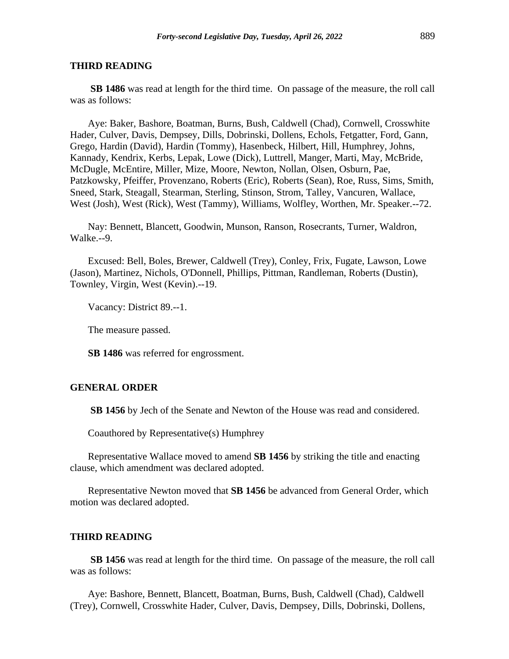**SB 1486** was read at length for the third time. On passage of the measure, the roll call was as follows:

Aye: Baker, Bashore, Boatman, Burns, Bush, Caldwell (Chad), Cornwell, Crosswhite Hader, Culver, Davis, Dempsey, Dills, Dobrinski, Dollens, Echols, Fetgatter, Ford, Gann, Grego, Hardin (David), Hardin (Tommy), Hasenbeck, Hilbert, Hill, Humphrey, Johns, Kannady, Kendrix, Kerbs, Lepak, Lowe (Dick), Luttrell, Manger, Marti, May, McBride, McDugle, McEntire, Miller, Mize, Moore, Newton, Nollan, Olsen, Osburn, Pae, Patzkowsky, Pfeiffer, Provenzano, Roberts (Eric), Roberts (Sean), Roe, Russ, Sims, Smith, Sneed, Stark, Steagall, Stearman, Sterling, Stinson, Strom, Talley, Vancuren, Wallace, West (Josh), West (Rick), West (Tammy), Williams, Wolfley, Worthen, Mr. Speaker.--72.

Nay: Bennett, Blancett, Goodwin, Munson, Ranson, Rosecrants, Turner, Waldron, Walke.--9.

Excused: Bell, Boles, Brewer, Caldwell (Trey), Conley, Frix, Fugate, Lawson, Lowe (Jason), Martinez, Nichols, O'Donnell, Phillips, Pittman, Randleman, Roberts (Dustin), Townley, Virgin, West (Kevin).--19.

Vacancy: District 89.--1.

The measure passed.

**SB 1486** was referred for engrossment.

## **GENERAL ORDER**

**SB 1456** by Jech of the Senate and Newton of the House was read and considered.

Coauthored by Representative(s) Humphrey

Representative Wallace moved to amend **SB 1456** by striking the title and enacting clause, which amendment was declared adopted.

Representative Newton moved that **SB 1456** be advanced from General Order, which motion was declared adopted.

## **THIRD READING**

**SB 1456** was read at length for the third time. On passage of the measure, the roll call was as follows:

Aye: Bashore, Bennett, Blancett, Boatman, Burns, Bush, Caldwell (Chad), Caldwell (Trey), Cornwell, Crosswhite Hader, Culver, Davis, Dempsey, Dills, Dobrinski, Dollens,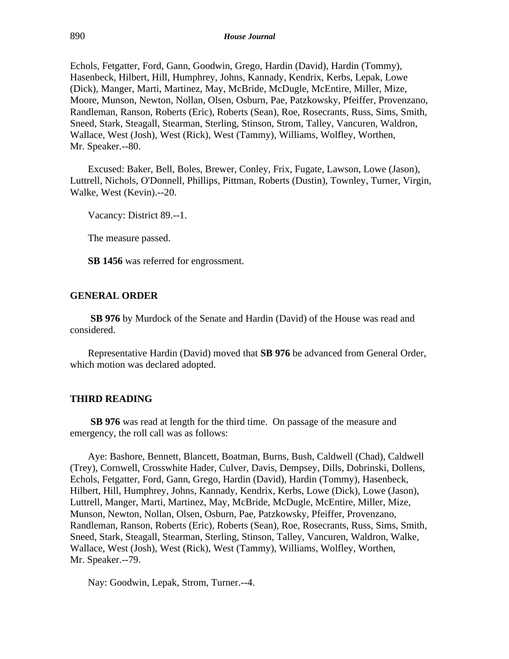Echols, Fetgatter, Ford, Gann, Goodwin, Grego, Hardin (David), Hardin (Tommy), Hasenbeck, Hilbert, Hill, Humphrey, Johns, Kannady, Kendrix, Kerbs, Lepak, Lowe (Dick), Manger, Marti, Martinez, May, McBride, McDugle, McEntire, Miller, Mize, Moore, Munson, Newton, Nollan, Olsen, Osburn, Pae, Patzkowsky, Pfeiffer, Provenzano, Randleman, Ranson, Roberts (Eric), Roberts (Sean), Roe, Rosecrants, Russ, Sims, Smith, Sneed, Stark, Steagall, Stearman, Sterling, Stinson, Strom, Talley, Vancuren, Waldron, Wallace, West (Josh), West (Rick), West (Tammy), Williams, Wolfley, Worthen, Mr. Speaker.--80.

Excused: Baker, Bell, Boles, Brewer, Conley, Frix, Fugate, Lawson, Lowe (Jason), Luttrell, Nichols, O'Donnell, Phillips, Pittman, Roberts (Dustin), Townley, Turner, Virgin, Walke, West (Kevin).--20.

Vacancy: District 89.--1.

The measure passed.

**SB 1456** was referred for engrossment.

## **GENERAL ORDER**

**SB 976** by Murdock of the Senate and Hardin (David) of the House was read and considered.

Representative Hardin (David) moved that **SB 976** be advanced from General Order, which motion was declared adopted.

## **THIRD READING**

**SB 976** was read at length for the third time. On passage of the measure and emergency, the roll call was as follows:

Aye: Bashore, Bennett, Blancett, Boatman, Burns, Bush, Caldwell (Chad), Caldwell (Trey), Cornwell, Crosswhite Hader, Culver, Davis, Dempsey, Dills, Dobrinski, Dollens, Echols, Fetgatter, Ford, Gann, Grego, Hardin (David), Hardin (Tommy), Hasenbeck, Hilbert, Hill, Humphrey, Johns, Kannady, Kendrix, Kerbs, Lowe (Dick), Lowe (Jason), Luttrell, Manger, Marti, Martinez, May, McBride, McDugle, McEntire, Miller, Mize, Munson, Newton, Nollan, Olsen, Osburn, Pae, Patzkowsky, Pfeiffer, Provenzano, Randleman, Ranson, Roberts (Eric), Roberts (Sean), Roe, Rosecrants, Russ, Sims, Smith, Sneed, Stark, Steagall, Stearman, Sterling, Stinson, Talley, Vancuren, Waldron, Walke, Wallace, West (Josh), West (Rick), West (Tammy), Williams, Wolfley, Worthen, Mr. Speaker.--79.

Nay: Goodwin, Lepak, Strom, Turner.--4.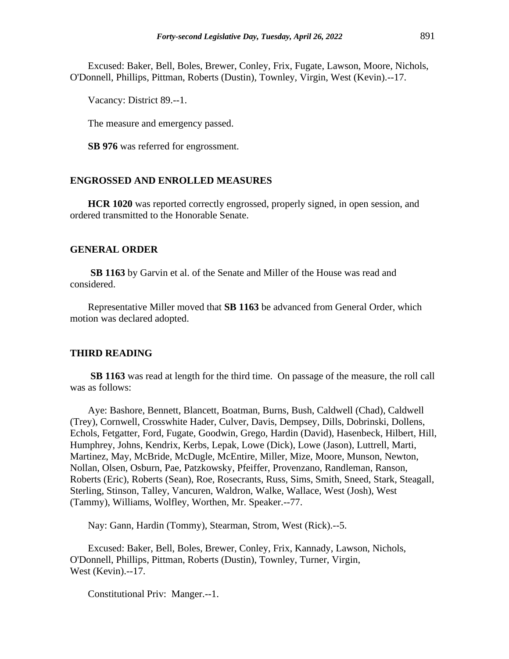Excused: Baker, Bell, Boles, Brewer, Conley, Frix, Fugate, Lawson, Moore, Nichols, O'Donnell, Phillips, Pittman, Roberts (Dustin), Townley, Virgin, West (Kevin).--17.

Vacancy: District 89.--1.

The measure and emergency passed.

**SB 976** was referred for engrossment.

## **ENGROSSED AND ENROLLED MEASURES**

**HCR 1020** was reported correctly engrossed, properly signed, in open session, and ordered transmitted to the Honorable Senate.

## **GENERAL ORDER**

**SB 1163** by Garvin et al. of the Senate and Miller of the House was read and considered.

Representative Miller moved that **SB 1163** be advanced from General Order, which motion was declared adopted.

## **THIRD READING**

**SB 1163** was read at length for the third time. On passage of the measure, the roll call was as follows:

Aye: Bashore, Bennett, Blancett, Boatman, Burns, Bush, Caldwell (Chad), Caldwell (Trey), Cornwell, Crosswhite Hader, Culver, Davis, Dempsey, Dills, Dobrinski, Dollens, Echols, Fetgatter, Ford, Fugate, Goodwin, Grego, Hardin (David), Hasenbeck, Hilbert, Hill, Humphrey, Johns, Kendrix, Kerbs, Lepak, Lowe (Dick), Lowe (Jason), Luttrell, Marti, Martinez, May, McBride, McDugle, McEntire, Miller, Mize, Moore, Munson, Newton, Nollan, Olsen, Osburn, Pae, Patzkowsky, Pfeiffer, Provenzano, Randleman, Ranson, Roberts (Eric), Roberts (Sean), Roe, Rosecrants, Russ, Sims, Smith, Sneed, Stark, Steagall, Sterling, Stinson, Talley, Vancuren, Waldron, Walke, Wallace, West (Josh), West (Tammy), Williams, Wolfley, Worthen, Mr. Speaker.--77.

Nay: Gann, Hardin (Tommy), Stearman, Strom, West (Rick).--5.

Excused: Baker, Bell, Boles, Brewer, Conley, Frix, Kannady, Lawson, Nichols, O'Donnell, Phillips, Pittman, Roberts (Dustin), Townley, Turner, Virgin, West (Kevin).--17.

Constitutional Priv: Manger.--1.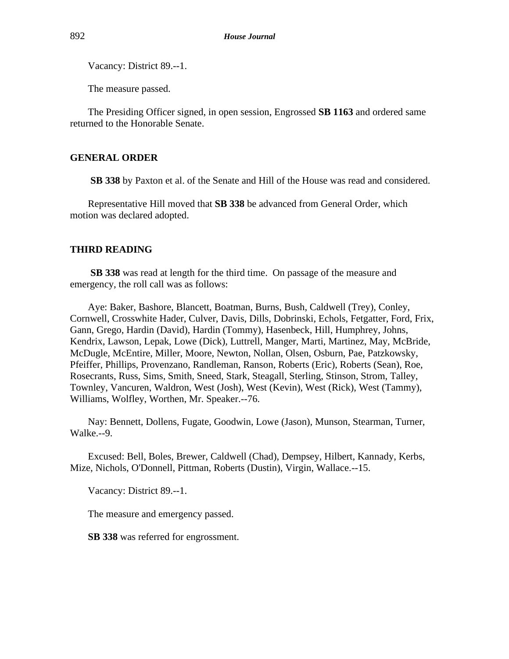Vacancy: District 89.--1.

The measure passed.

The Presiding Officer signed, in open session, Engrossed **SB 1163** and ordered same returned to the Honorable Senate.

## **GENERAL ORDER**

**SB 338** by Paxton et al. of the Senate and Hill of the House was read and considered.

Representative Hill moved that **SB 338** be advanced from General Order, which motion was declared adopted.

## **THIRD READING**

**SB 338** was read at length for the third time. On passage of the measure and emergency, the roll call was as follows:

Aye: Baker, Bashore, Blancett, Boatman, Burns, Bush, Caldwell (Trey), Conley, Cornwell, Crosswhite Hader, Culver, Davis, Dills, Dobrinski, Echols, Fetgatter, Ford, Frix, Gann, Grego, Hardin (David), Hardin (Tommy), Hasenbeck, Hill, Humphrey, Johns, Kendrix, Lawson, Lepak, Lowe (Dick), Luttrell, Manger, Marti, Martinez, May, McBride, McDugle, McEntire, Miller, Moore, Newton, Nollan, Olsen, Osburn, Pae, Patzkowsky, Pfeiffer, Phillips, Provenzano, Randleman, Ranson, Roberts (Eric), Roberts (Sean), Roe, Rosecrants, Russ, Sims, Smith, Sneed, Stark, Steagall, Sterling, Stinson, Strom, Talley, Townley, Vancuren, Waldron, West (Josh), West (Kevin), West (Rick), West (Tammy), Williams, Wolfley, Worthen, Mr. Speaker.--76.

Nay: Bennett, Dollens, Fugate, Goodwin, Lowe (Jason), Munson, Stearman, Turner, Walke.--9.

Excused: Bell, Boles, Brewer, Caldwell (Chad), Dempsey, Hilbert, Kannady, Kerbs, Mize, Nichols, O'Donnell, Pittman, Roberts (Dustin), Virgin, Wallace.--15.

Vacancy: District 89.--1.

The measure and emergency passed.

**SB 338** was referred for engrossment.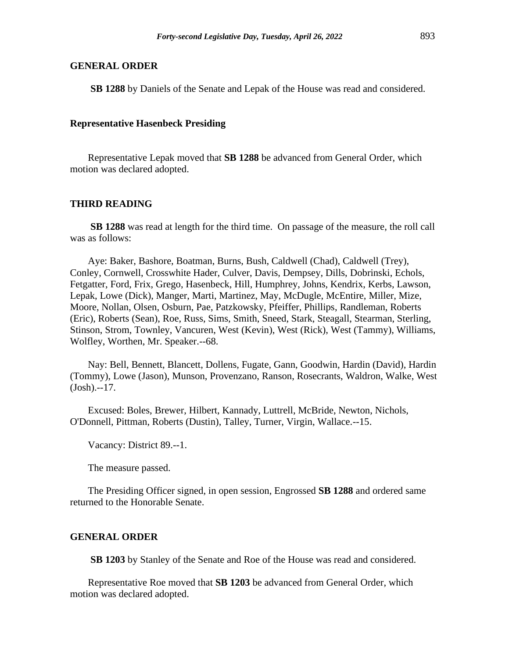**SB 1288** by Daniels of the Senate and Lepak of the House was read and considered.

### **Representative Hasenbeck Presiding**

Representative Lepak moved that **SB 1288** be advanced from General Order, which motion was declared adopted.

#### **THIRD READING**

**SB 1288** was read at length for the third time. On passage of the measure, the roll call was as follows:

Aye: Baker, Bashore, Boatman, Burns, Bush, Caldwell (Chad), Caldwell (Trey), Conley, Cornwell, Crosswhite Hader, Culver, Davis, Dempsey, Dills, Dobrinski, Echols, Fetgatter, Ford, Frix, Grego, Hasenbeck, Hill, Humphrey, Johns, Kendrix, Kerbs, Lawson, Lepak, Lowe (Dick), Manger, Marti, Martinez, May, McDugle, McEntire, Miller, Mize, Moore, Nollan, Olsen, Osburn, Pae, Patzkowsky, Pfeiffer, Phillips, Randleman, Roberts (Eric), Roberts (Sean), Roe, Russ, Sims, Smith, Sneed, Stark, Steagall, Stearman, Sterling, Stinson, Strom, Townley, Vancuren, West (Kevin), West (Rick), West (Tammy), Williams, Wolfley, Worthen, Mr. Speaker.--68.

Nay: Bell, Bennett, Blancett, Dollens, Fugate, Gann, Goodwin, Hardin (David), Hardin (Tommy), Lowe (Jason), Munson, Provenzano, Ranson, Rosecrants, Waldron, Walke, West (Josh).--17.

Excused: Boles, Brewer, Hilbert, Kannady, Luttrell, McBride, Newton, Nichols, O'Donnell, Pittman, Roberts (Dustin), Talley, Turner, Virgin, Wallace.--15.

Vacancy: District 89.--1.

The measure passed.

The Presiding Officer signed, in open session, Engrossed **SB 1288** and ordered same returned to the Honorable Senate.

## **GENERAL ORDER**

**SB 1203** by Stanley of the Senate and Roe of the House was read and considered.

Representative Roe moved that **SB 1203** be advanced from General Order, which motion was declared adopted.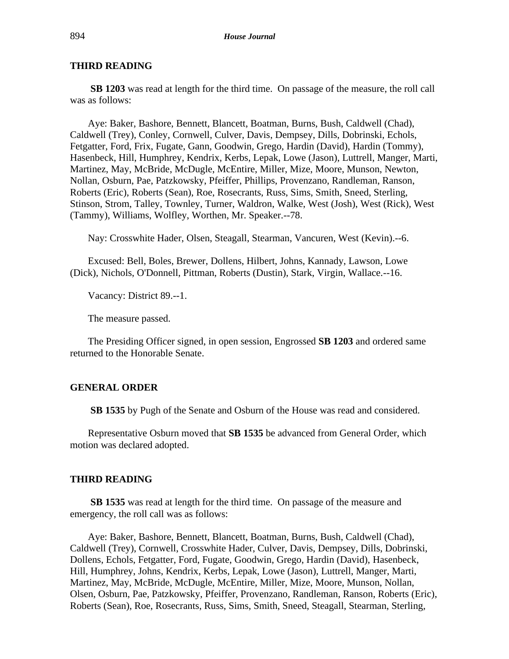**SB 1203** was read at length for the third time. On passage of the measure, the roll call was as follows:

Aye: Baker, Bashore, Bennett, Blancett, Boatman, Burns, Bush, Caldwell (Chad), Caldwell (Trey), Conley, Cornwell, Culver, Davis, Dempsey, Dills, Dobrinski, Echols, Fetgatter, Ford, Frix, Fugate, Gann, Goodwin, Grego, Hardin (David), Hardin (Tommy), Hasenbeck, Hill, Humphrey, Kendrix, Kerbs, Lepak, Lowe (Jason), Luttrell, Manger, Marti, Martinez, May, McBride, McDugle, McEntire, Miller, Mize, Moore, Munson, Newton, Nollan, Osburn, Pae, Patzkowsky, Pfeiffer, Phillips, Provenzano, Randleman, Ranson, Roberts (Eric), Roberts (Sean), Roe, Rosecrants, Russ, Sims, Smith, Sneed, Sterling, Stinson, Strom, Talley, Townley, Turner, Waldron, Walke, West (Josh), West (Rick), West (Tammy), Williams, Wolfley, Worthen, Mr. Speaker.--78.

Nay: Crosswhite Hader, Olsen, Steagall, Stearman, Vancuren, West (Kevin).--6.

Excused: Bell, Boles, Brewer, Dollens, Hilbert, Johns, Kannady, Lawson, Lowe (Dick), Nichols, O'Donnell, Pittman, Roberts (Dustin), Stark, Virgin, Wallace.--16.

Vacancy: District 89.--1.

The measure passed.

The Presiding Officer signed, in open session, Engrossed **SB 1203** and ordered same returned to the Honorable Senate.

## **GENERAL ORDER**

**SB 1535** by Pugh of the Senate and Osburn of the House was read and considered.

Representative Osburn moved that **SB 1535** be advanced from General Order, which motion was declared adopted.

#### **THIRD READING**

**SB 1535** was read at length for the third time. On passage of the measure and emergency, the roll call was as follows:

Aye: Baker, Bashore, Bennett, Blancett, Boatman, Burns, Bush, Caldwell (Chad), Caldwell (Trey), Cornwell, Crosswhite Hader, Culver, Davis, Dempsey, Dills, Dobrinski, Dollens, Echols, Fetgatter, Ford, Fugate, Goodwin, Grego, Hardin (David), Hasenbeck, Hill, Humphrey, Johns, Kendrix, Kerbs, Lepak, Lowe (Jason), Luttrell, Manger, Marti, Martinez, May, McBride, McDugle, McEntire, Miller, Mize, Moore, Munson, Nollan, Olsen, Osburn, Pae, Patzkowsky, Pfeiffer, Provenzano, Randleman, Ranson, Roberts (Eric), Roberts (Sean), Roe, Rosecrants, Russ, Sims, Smith, Sneed, Steagall, Stearman, Sterling,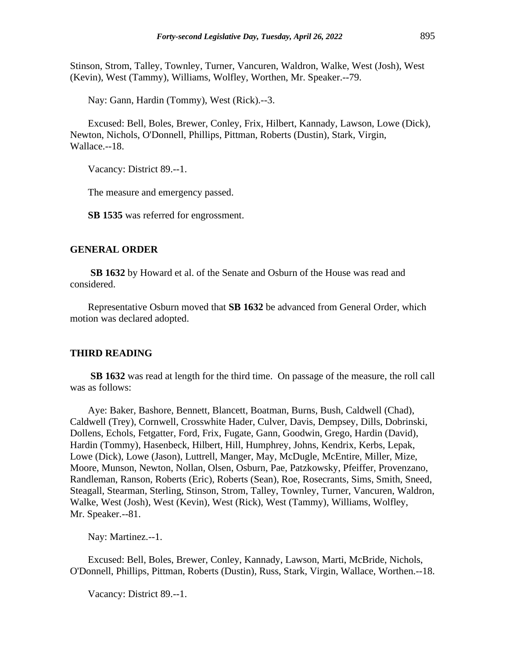Stinson, Strom, Talley, Townley, Turner, Vancuren, Waldron, Walke, West (Josh), West (Kevin), West (Tammy), Williams, Wolfley, Worthen, Mr. Speaker.--79.

Nay: Gann, Hardin (Tommy), West (Rick).--3.

Excused: Bell, Boles, Brewer, Conley, Frix, Hilbert, Kannady, Lawson, Lowe (Dick), Newton, Nichols, O'Donnell, Phillips, Pittman, Roberts (Dustin), Stark, Virgin, Wallace.--18.

Vacancy: District 89.--1.

The measure and emergency passed.

**SB 1535** was referred for engrossment.

## **GENERAL ORDER**

**SB 1632** by Howard et al. of the Senate and Osburn of the House was read and considered.

Representative Osburn moved that **SB 1632** be advanced from General Order, which motion was declared adopted.

## **THIRD READING**

**SB 1632** was read at length for the third time. On passage of the measure, the roll call was as follows:

Aye: Baker, Bashore, Bennett, Blancett, Boatman, Burns, Bush, Caldwell (Chad), Caldwell (Trey), Cornwell, Crosswhite Hader, Culver, Davis, Dempsey, Dills, Dobrinski, Dollens, Echols, Fetgatter, Ford, Frix, Fugate, Gann, Goodwin, Grego, Hardin (David), Hardin (Tommy), Hasenbeck, Hilbert, Hill, Humphrey, Johns, Kendrix, Kerbs, Lepak, Lowe (Dick), Lowe (Jason), Luttrell, Manger, May, McDugle, McEntire, Miller, Mize, Moore, Munson, Newton, Nollan, Olsen, Osburn, Pae, Patzkowsky, Pfeiffer, Provenzano, Randleman, Ranson, Roberts (Eric), Roberts (Sean), Roe, Rosecrants, Sims, Smith, Sneed, Steagall, Stearman, Sterling, Stinson, Strom, Talley, Townley, Turner, Vancuren, Waldron, Walke, West (Josh), West (Kevin), West (Rick), West (Tammy), Williams, Wolfley, Mr. Speaker.--81.

Nay: Martinez.--1.

Excused: Bell, Boles, Brewer, Conley, Kannady, Lawson, Marti, McBride, Nichols, O'Donnell, Phillips, Pittman, Roberts (Dustin), Russ, Stark, Virgin, Wallace, Worthen.--18.

Vacancy: District 89.--1.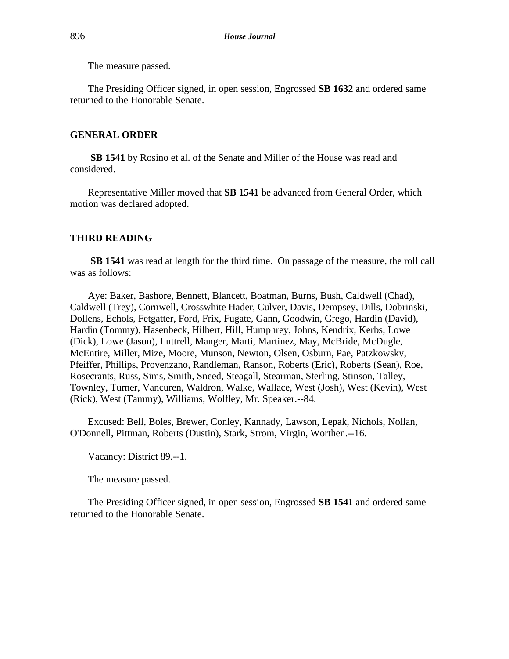The measure passed.

The Presiding Officer signed, in open session, Engrossed **SB 1632** and ordered same returned to the Honorable Senate.

## **GENERAL ORDER**

**SB 1541** by Rosino et al. of the Senate and Miller of the House was read and considered.

Representative Miller moved that **SB 1541** be advanced from General Order, which motion was declared adopted.

## **THIRD READING**

**SB 1541** was read at length for the third time. On passage of the measure, the roll call was as follows:

Aye: Baker, Bashore, Bennett, Blancett, Boatman, Burns, Bush, Caldwell (Chad), Caldwell (Trey), Cornwell, Crosswhite Hader, Culver, Davis, Dempsey, Dills, Dobrinski, Dollens, Echols, Fetgatter, Ford, Frix, Fugate, Gann, Goodwin, Grego, Hardin (David), Hardin (Tommy), Hasenbeck, Hilbert, Hill, Humphrey, Johns, Kendrix, Kerbs, Lowe (Dick), Lowe (Jason), Luttrell, Manger, Marti, Martinez, May, McBride, McDugle, McEntire, Miller, Mize, Moore, Munson, Newton, Olsen, Osburn, Pae, Patzkowsky, Pfeiffer, Phillips, Provenzano, Randleman, Ranson, Roberts (Eric), Roberts (Sean), Roe, Rosecrants, Russ, Sims, Smith, Sneed, Steagall, Stearman, Sterling, Stinson, Talley, Townley, Turner, Vancuren, Waldron, Walke, Wallace, West (Josh), West (Kevin), West (Rick), West (Tammy), Williams, Wolfley, Mr. Speaker.--84.

Excused: Bell, Boles, Brewer, Conley, Kannady, Lawson, Lepak, Nichols, Nollan, O'Donnell, Pittman, Roberts (Dustin), Stark, Strom, Virgin, Worthen.--16.

Vacancy: District 89.--1.

The measure passed.

The Presiding Officer signed, in open session, Engrossed **SB 1541** and ordered same returned to the Honorable Senate.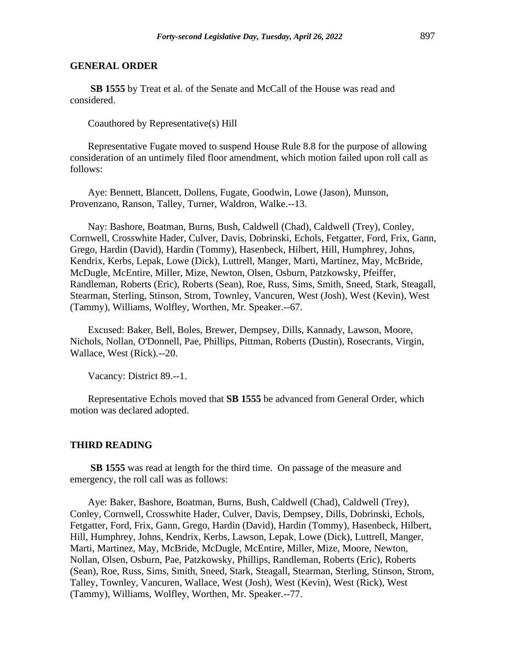**SB 1555** by Treat et al. of the Senate and McCall of the House was read and considered.

Coauthored by Representative(s) Hill

Representative Fugate moved to suspend House Rule 8.8 for the purpose of allowing consideration of an untimely filed floor amendment, which motion failed upon roll call as follows:

Aye: Bennett, Blancett, Dollens, Fugate, Goodwin, Lowe (Jason), Munson, Provenzano, Ranson, Talley, Turner, Waldron, Walke.--13.

Nay: Bashore, Boatman, Burns, Bush, Caldwell (Chad), Caldwell (Trey), Conley, Cornwell, Crosswhite Hader, Culver, Davis, Dobrinski, Echols, Fetgatter, Ford, Frix, Gann, Grego, Hardin (David), Hardin (Tommy), Hasenbeck, Hilbert, Hill, Humphrey, Johns, Kendrix, Kerbs, Lepak, Lowe (Dick), Luttrell, Manger, Marti, Martinez, May, McBride, McDugle, McEntire, Miller, Mize, Newton, Olsen, Osburn, Patzkowsky, Pfeiffer, Randleman, Roberts (Eric), Roberts (Sean), Roe, Russ, Sims, Smith, Sneed, Stark, Steagall, Stearman, Sterling, Stinson, Strom, Townley, Vancuren, West (Josh), West (Kevin), West (Tammy), Williams, Wolfley, Worthen, Mr. Speaker.--67.

Excused: Baker, Bell, Boles, Brewer, Dempsey, Dills, Kannady, Lawson, Moore, Nichols, Nollan, O'Donnell, Pae, Phillips, Pittman, Roberts (Dustin), Rosecrants, Virgin, Wallace, West (Rick).--20.

Vacancy: District 89.--1.

Representative Echols moved that **SB 1555** be advanced from General Order, which motion was declared adopted.

## **THIRD READING**

**SB 1555** was read at length for the third time. On passage of the measure and emergency, the roll call was as follows:

Aye: Baker, Bashore, Boatman, Burns, Bush, Caldwell (Chad), Caldwell (Trey), Conley, Cornwell, Crosswhite Hader, Culver, Davis, Dempsey, Dills, Dobrinski, Echols, Fetgatter, Ford, Frix, Gann, Grego, Hardin (David), Hardin (Tommy), Hasenbeck, Hilbert, Hill, Humphrey, Johns, Kendrix, Kerbs, Lawson, Lepak, Lowe (Dick), Luttrell, Manger, Marti, Martinez, May, McBride, McDugle, McEntire, Miller, Mize, Moore, Newton, Nollan, Olsen, Osburn, Pae, Patzkowsky, Phillips, Randleman, Roberts (Eric), Roberts (Sean), Roe, Russ, Sims, Smith, Sneed, Stark, Steagall, Stearman, Sterling, Stinson, Strom, Talley, Townley, Vancuren, Wallace, West (Josh), West (Kevin), West (Rick), West (Tammy), Williams, Wolfley, Worthen, Mr. Speaker.--77.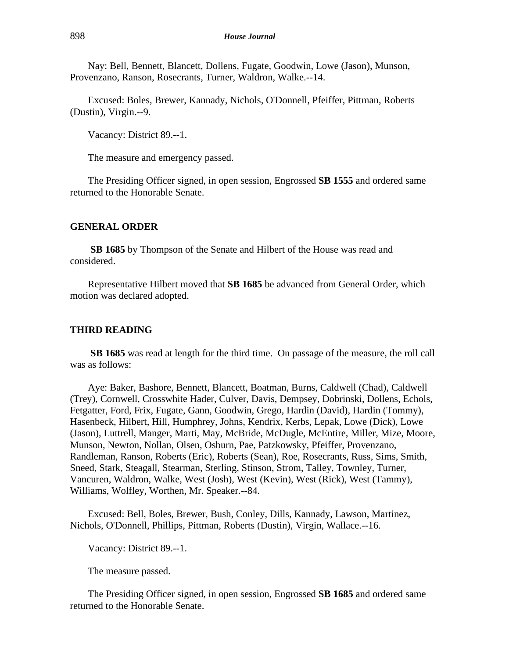Nay: Bell, Bennett, Blancett, Dollens, Fugate, Goodwin, Lowe (Jason), Munson, Provenzano, Ranson, Rosecrants, Turner, Waldron, Walke.--14.

Excused: Boles, Brewer, Kannady, Nichols, O'Donnell, Pfeiffer, Pittman, Roberts (Dustin), Virgin.--9.

Vacancy: District 89.--1.

The measure and emergency passed.

The Presiding Officer signed, in open session, Engrossed **SB 1555** and ordered same returned to the Honorable Senate.

#### **GENERAL ORDER**

**SB 1685** by Thompson of the Senate and Hilbert of the House was read and considered.

Representative Hilbert moved that **SB 1685** be advanced from General Order, which motion was declared adopted.

### **THIRD READING**

**SB 1685** was read at length for the third time. On passage of the measure, the roll call was as follows:

Aye: Baker, Bashore, Bennett, Blancett, Boatman, Burns, Caldwell (Chad), Caldwell (Trey), Cornwell, Crosswhite Hader, Culver, Davis, Dempsey, Dobrinski, Dollens, Echols, Fetgatter, Ford, Frix, Fugate, Gann, Goodwin, Grego, Hardin (David), Hardin (Tommy), Hasenbeck, Hilbert, Hill, Humphrey, Johns, Kendrix, Kerbs, Lepak, Lowe (Dick), Lowe (Jason), Luttrell, Manger, Marti, May, McBride, McDugle, McEntire, Miller, Mize, Moore, Munson, Newton, Nollan, Olsen, Osburn, Pae, Patzkowsky, Pfeiffer, Provenzano, Randleman, Ranson, Roberts (Eric), Roberts (Sean), Roe, Rosecrants, Russ, Sims, Smith, Sneed, Stark, Steagall, Stearman, Sterling, Stinson, Strom, Talley, Townley, Turner, Vancuren, Waldron, Walke, West (Josh), West (Kevin), West (Rick), West (Tammy), Williams, Wolfley, Worthen, Mr. Speaker.--84.

Excused: Bell, Boles, Brewer, Bush, Conley, Dills, Kannady, Lawson, Martinez, Nichols, O'Donnell, Phillips, Pittman, Roberts (Dustin), Virgin, Wallace.--16.

Vacancy: District 89.--1.

The measure passed.

The Presiding Officer signed, in open session, Engrossed **SB 1685** and ordered same returned to the Honorable Senate.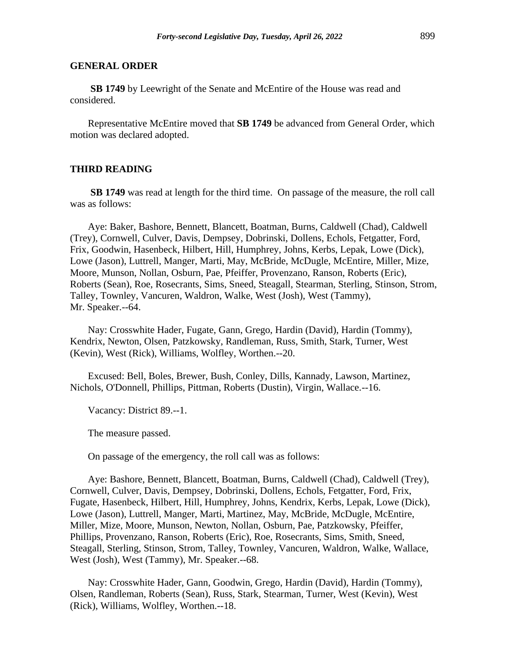**SB 1749** by Leewright of the Senate and McEntire of the House was read and considered.

Representative McEntire moved that **SB 1749** be advanced from General Order, which motion was declared adopted.

## **THIRD READING**

**SB 1749** was read at length for the third time. On passage of the measure, the roll call was as follows:

Aye: Baker, Bashore, Bennett, Blancett, Boatman, Burns, Caldwell (Chad), Caldwell (Trey), Cornwell, Culver, Davis, Dempsey, Dobrinski, Dollens, Echols, Fetgatter, Ford, Frix, Goodwin, Hasenbeck, Hilbert, Hill, Humphrey, Johns, Kerbs, Lepak, Lowe (Dick), Lowe (Jason), Luttrell, Manger, Marti, May, McBride, McDugle, McEntire, Miller, Mize, Moore, Munson, Nollan, Osburn, Pae, Pfeiffer, Provenzano, Ranson, Roberts (Eric), Roberts (Sean), Roe, Rosecrants, Sims, Sneed, Steagall, Stearman, Sterling, Stinson, Strom, Talley, Townley, Vancuren, Waldron, Walke, West (Josh), West (Tammy), Mr. Speaker.--64.

Nay: Crosswhite Hader, Fugate, Gann, Grego, Hardin (David), Hardin (Tommy), Kendrix, Newton, Olsen, Patzkowsky, Randleman, Russ, Smith, Stark, Turner, West (Kevin), West (Rick), Williams, Wolfley, Worthen.--20.

Excused: Bell, Boles, Brewer, Bush, Conley, Dills, Kannady, Lawson, Martinez, Nichols, O'Donnell, Phillips, Pittman, Roberts (Dustin), Virgin, Wallace.--16.

Vacancy: District 89.--1.

The measure passed.

On passage of the emergency, the roll call was as follows:

Aye: Bashore, Bennett, Blancett, Boatman, Burns, Caldwell (Chad), Caldwell (Trey), Cornwell, Culver, Davis, Dempsey, Dobrinski, Dollens, Echols, Fetgatter, Ford, Frix, Fugate, Hasenbeck, Hilbert, Hill, Humphrey, Johns, Kendrix, Kerbs, Lepak, Lowe (Dick), Lowe (Jason), Luttrell, Manger, Marti, Martinez, May, McBride, McDugle, McEntire, Miller, Mize, Moore, Munson, Newton, Nollan, Osburn, Pae, Patzkowsky, Pfeiffer, Phillips, Provenzano, Ranson, Roberts (Eric), Roe, Rosecrants, Sims, Smith, Sneed, Steagall, Sterling, Stinson, Strom, Talley, Townley, Vancuren, Waldron, Walke, Wallace, West (Josh), West (Tammy), Mr. Speaker.--68.

Nay: Crosswhite Hader, Gann, Goodwin, Grego, Hardin (David), Hardin (Tommy), Olsen, Randleman, Roberts (Sean), Russ, Stark, Stearman, Turner, West (Kevin), West (Rick), Williams, Wolfley, Worthen.--18.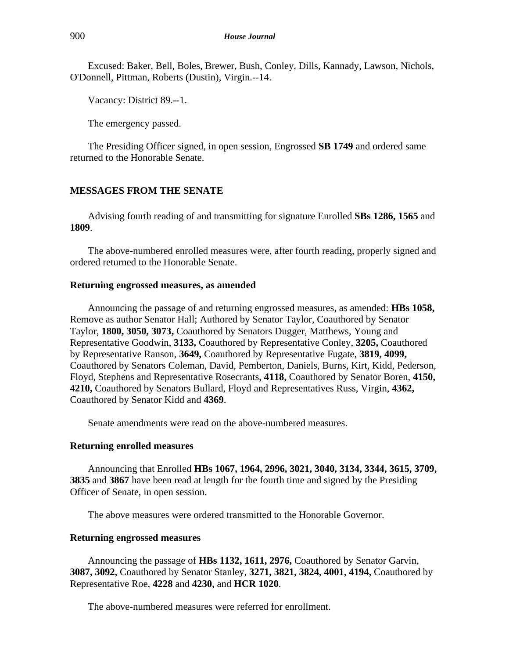Excused: Baker, Bell, Boles, Brewer, Bush, Conley, Dills, Kannady, Lawson, Nichols, O'Donnell, Pittman, Roberts (Dustin), Virgin.--14.

Vacancy: District 89.--1.

The emergency passed.

The Presiding Officer signed, in open session, Engrossed **SB 1749** and ordered same returned to the Honorable Senate.

## **MESSAGES FROM THE SENATE**

Advising fourth reading of and transmitting for signature Enrolled **SBs 1286, 1565** and **1809**.

The above-numbered enrolled measures were, after fourth reading, properly signed and ordered returned to the Honorable Senate.

## **Returning engrossed measures, as amended**

Announcing the passage of and returning engrossed measures, as amended: **HBs 1058,** Remove as author Senator Hall; Authored by Senator Taylor, Coauthored by Senator Taylor, **1800, 3050, 3073,** Coauthored by Senators Dugger, Matthews, Young and Representative Goodwin, **3133,** Coauthored by Representative Conley, **3205,** Coauthored by Representative Ranson, **3649,** Coauthored by Representative Fugate, **3819, 4099,** Coauthored by Senators Coleman, David, Pemberton, Daniels, Burns, Kirt, Kidd, Pederson, Floyd, Stephens and Representative Rosecrants, **4118,** Coauthored by Senator Boren, **4150, 4210,** Coauthored by Senators Bullard, Floyd and Representatives Russ, Virgin, **4362,** Coauthored by Senator Kidd and **4369**.

Senate amendments were read on the above-numbered measures.

## **Returning enrolled measures**

Announcing that Enrolled **HBs 1067, 1964, 2996, 3021, 3040, 3134, 3344, 3615, 3709, 3835** and **3867** have been read at length for the fourth time and signed by the Presiding Officer of Senate, in open session.

The above measures were ordered transmitted to the Honorable Governor.

## **Returning engrossed measures**

Announcing the passage of **HBs 1132, 1611, 2976,** Coauthored by Senator Garvin, **3087, 3092,** Coauthored by Senator Stanley, **3271, 3821, 3824, 4001, 4194,** Coauthored by Representative Roe, **4228** and **4230,** and **HCR 1020**.

The above-numbered measures were referred for enrollment.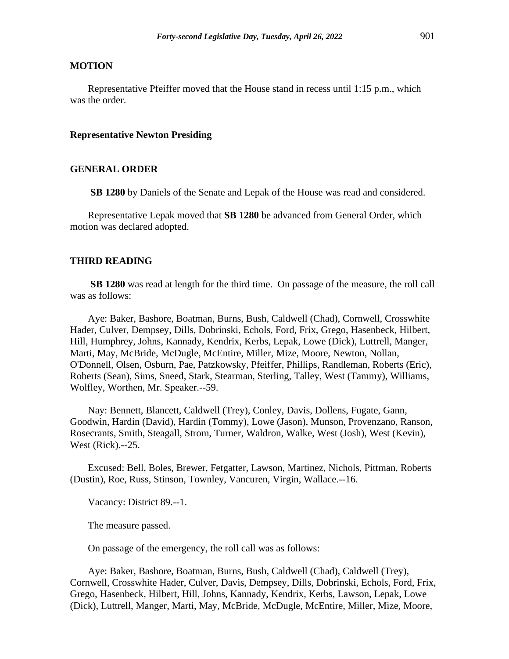## **MOTION**

Representative Pfeiffer moved that the House stand in recess until 1:15 p.m., which was the order.

#### **Representative Newton Presiding**

## **GENERAL ORDER**

**SB 1280** by Daniels of the Senate and Lepak of the House was read and considered.

Representative Lepak moved that **SB 1280** be advanced from General Order, which motion was declared adopted.

## **THIRD READING**

**SB 1280** was read at length for the third time. On passage of the measure, the roll call was as follows:

Aye: Baker, Bashore, Boatman, Burns, Bush, Caldwell (Chad), Cornwell, Crosswhite Hader, Culver, Dempsey, Dills, Dobrinski, Echols, Ford, Frix, Grego, Hasenbeck, Hilbert, Hill, Humphrey, Johns, Kannady, Kendrix, Kerbs, Lepak, Lowe (Dick), Luttrell, Manger, Marti, May, McBride, McDugle, McEntire, Miller, Mize, Moore, Newton, Nollan, O'Donnell, Olsen, Osburn, Pae, Patzkowsky, Pfeiffer, Phillips, Randleman, Roberts (Eric), Roberts (Sean), Sims, Sneed, Stark, Stearman, Sterling, Talley, West (Tammy), Williams, Wolfley, Worthen, Mr. Speaker.--59.

Nay: Bennett, Blancett, Caldwell (Trey), Conley, Davis, Dollens, Fugate, Gann, Goodwin, Hardin (David), Hardin (Tommy), Lowe (Jason), Munson, Provenzano, Ranson, Rosecrants, Smith, Steagall, Strom, Turner, Waldron, Walke, West (Josh), West (Kevin), West (Rick).--25.

Excused: Bell, Boles, Brewer, Fetgatter, Lawson, Martinez, Nichols, Pittman, Roberts (Dustin), Roe, Russ, Stinson, Townley, Vancuren, Virgin, Wallace.--16.

Vacancy: District 89.--1.

The measure passed.

On passage of the emergency, the roll call was as follows:

Aye: Baker, Bashore, Boatman, Burns, Bush, Caldwell (Chad), Caldwell (Trey), Cornwell, Crosswhite Hader, Culver, Davis, Dempsey, Dills, Dobrinski, Echols, Ford, Frix, Grego, Hasenbeck, Hilbert, Hill, Johns, Kannady, Kendrix, Kerbs, Lawson, Lepak, Lowe (Dick), Luttrell, Manger, Marti, May, McBride, McDugle, McEntire, Miller, Mize, Moore,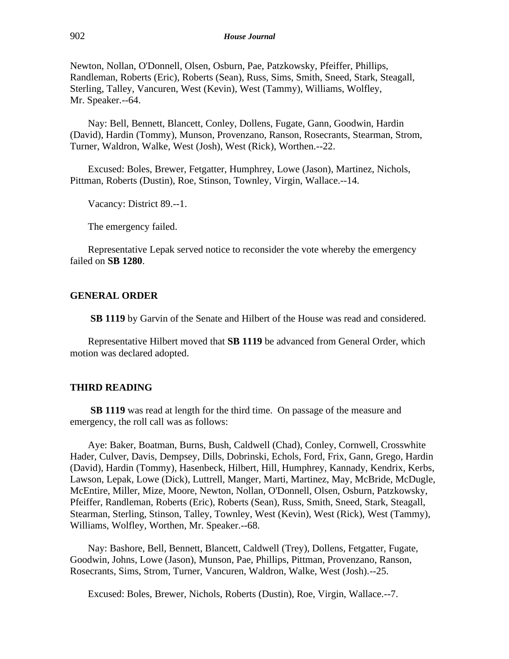Newton, Nollan, O'Donnell, Olsen, Osburn, Pae, Patzkowsky, Pfeiffer, Phillips, Randleman, Roberts (Eric), Roberts (Sean), Russ, Sims, Smith, Sneed, Stark, Steagall, Sterling, Talley, Vancuren, West (Kevin), West (Tammy), Williams, Wolfley, Mr. Speaker.--64.

Nay: Bell, Bennett, Blancett, Conley, Dollens, Fugate, Gann, Goodwin, Hardin (David), Hardin (Tommy), Munson, Provenzano, Ranson, Rosecrants, Stearman, Strom, Turner, Waldron, Walke, West (Josh), West (Rick), Worthen.--22.

Excused: Boles, Brewer, Fetgatter, Humphrey, Lowe (Jason), Martinez, Nichols, Pittman, Roberts (Dustin), Roe, Stinson, Townley, Virgin, Wallace.--14.

Vacancy: District 89.--1.

The emergency failed.

Representative Lepak served notice to reconsider the vote whereby the emergency failed on **SB 1280**.

## **GENERAL ORDER**

**SB 1119** by Garvin of the Senate and Hilbert of the House was read and considered.

Representative Hilbert moved that **SB 1119** be advanced from General Order, which motion was declared adopted.

## **THIRD READING**

**SB 1119** was read at length for the third time. On passage of the measure and emergency, the roll call was as follows:

Aye: Baker, Boatman, Burns, Bush, Caldwell (Chad), Conley, Cornwell, Crosswhite Hader, Culver, Davis, Dempsey, Dills, Dobrinski, Echols, Ford, Frix, Gann, Grego, Hardin (David), Hardin (Tommy), Hasenbeck, Hilbert, Hill, Humphrey, Kannady, Kendrix, Kerbs, Lawson, Lepak, Lowe (Dick), Luttrell, Manger, Marti, Martinez, May, McBride, McDugle, McEntire, Miller, Mize, Moore, Newton, Nollan, O'Donnell, Olsen, Osburn, Patzkowsky, Pfeiffer, Randleman, Roberts (Eric), Roberts (Sean), Russ, Smith, Sneed, Stark, Steagall, Stearman, Sterling, Stinson, Talley, Townley, West (Kevin), West (Rick), West (Tammy), Williams, Wolfley, Worthen, Mr. Speaker.--68.

Nay: Bashore, Bell, Bennett, Blancett, Caldwell (Trey), Dollens, Fetgatter, Fugate, Goodwin, Johns, Lowe (Jason), Munson, Pae, Phillips, Pittman, Provenzano, Ranson, Rosecrants, Sims, Strom, Turner, Vancuren, Waldron, Walke, West (Josh).--25.

Excused: Boles, Brewer, Nichols, Roberts (Dustin), Roe, Virgin, Wallace.--7.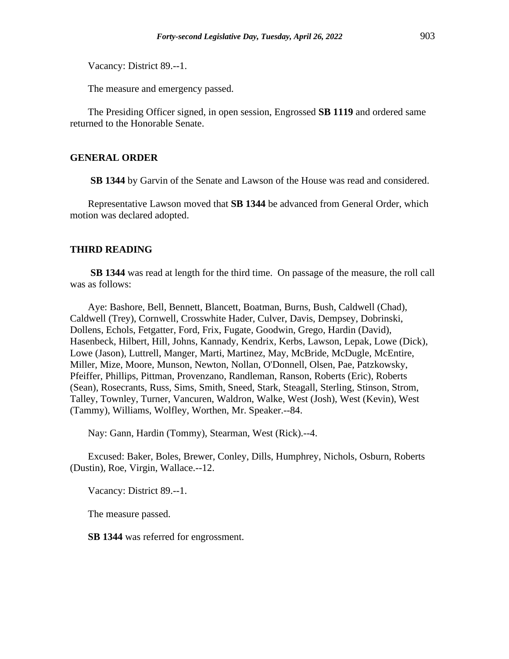Vacancy: District 89.--1.

The measure and emergency passed.

The Presiding Officer signed, in open session, Engrossed **SB 1119** and ordered same returned to the Honorable Senate.

## **GENERAL ORDER**

**SB 1344** by Garvin of the Senate and Lawson of the House was read and considered.

Representative Lawson moved that **SB 1344** be advanced from General Order, which motion was declared adopted.

## **THIRD READING**

**SB 1344** was read at length for the third time. On passage of the measure, the roll call was as follows:

Aye: Bashore, Bell, Bennett, Blancett, Boatman, Burns, Bush, Caldwell (Chad), Caldwell (Trey), Cornwell, Crosswhite Hader, Culver, Davis, Dempsey, Dobrinski, Dollens, Echols, Fetgatter, Ford, Frix, Fugate, Goodwin, Grego, Hardin (David), Hasenbeck, Hilbert, Hill, Johns, Kannady, Kendrix, Kerbs, Lawson, Lepak, Lowe (Dick), Lowe (Jason), Luttrell, Manger, Marti, Martinez, May, McBride, McDugle, McEntire, Miller, Mize, Moore, Munson, Newton, Nollan, O'Donnell, Olsen, Pae, Patzkowsky, Pfeiffer, Phillips, Pittman, Provenzano, Randleman, Ranson, Roberts (Eric), Roberts (Sean), Rosecrants, Russ, Sims, Smith, Sneed, Stark, Steagall, Sterling, Stinson, Strom, Talley, Townley, Turner, Vancuren, Waldron, Walke, West (Josh), West (Kevin), West (Tammy), Williams, Wolfley, Worthen, Mr. Speaker.--84.

Nay: Gann, Hardin (Tommy), Stearman, West (Rick).--4.

Excused: Baker, Boles, Brewer, Conley, Dills, Humphrey, Nichols, Osburn, Roberts (Dustin), Roe, Virgin, Wallace.--12.

Vacancy: District 89.--1.

The measure passed.

**SB 1344** was referred for engrossment.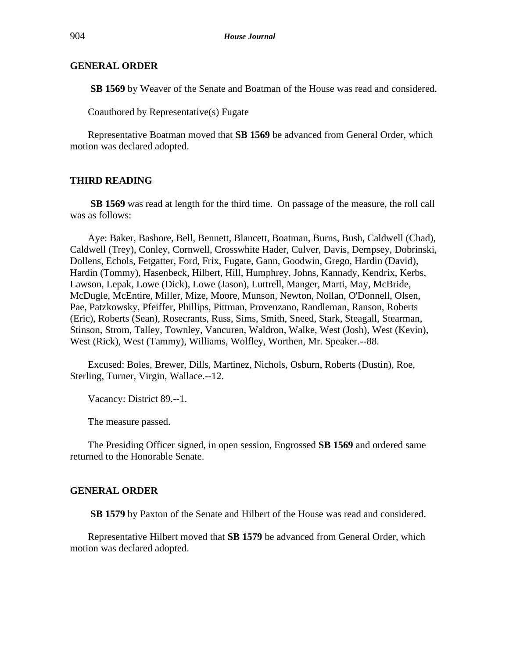**SB 1569** by Weaver of the Senate and Boatman of the House was read and considered.

Coauthored by Representative(s) Fugate

Representative Boatman moved that **SB 1569** be advanced from General Order, which motion was declared adopted.

## **THIRD READING**

**SB 1569** was read at length for the third time. On passage of the measure, the roll call was as follows:

Aye: Baker, Bashore, Bell, Bennett, Blancett, Boatman, Burns, Bush, Caldwell (Chad), Caldwell (Trey), Conley, Cornwell, Crosswhite Hader, Culver, Davis, Dempsey, Dobrinski, Dollens, Echols, Fetgatter, Ford, Frix, Fugate, Gann, Goodwin, Grego, Hardin (David), Hardin (Tommy), Hasenbeck, Hilbert, Hill, Humphrey, Johns, Kannady, Kendrix, Kerbs, Lawson, Lepak, Lowe (Dick), Lowe (Jason), Luttrell, Manger, Marti, May, McBride, McDugle, McEntire, Miller, Mize, Moore, Munson, Newton, Nollan, O'Donnell, Olsen, Pae, Patzkowsky, Pfeiffer, Phillips, Pittman, Provenzano, Randleman, Ranson, Roberts (Eric), Roberts (Sean), Rosecrants, Russ, Sims, Smith, Sneed, Stark, Steagall, Stearman, Stinson, Strom, Talley, Townley, Vancuren, Waldron, Walke, West (Josh), West (Kevin), West (Rick), West (Tammy), Williams, Wolfley, Worthen, Mr. Speaker.--88.

Excused: Boles, Brewer, Dills, Martinez, Nichols, Osburn, Roberts (Dustin), Roe, Sterling, Turner, Virgin, Wallace.--12.

Vacancy: District 89.--1.

The measure passed.

The Presiding Officer signed, in open session, Engrossed **SB 1569** and ordered same returned to the Honorable Senate.

## **GENERAL ORDER**

**SB 1579** by Paxton of the Senate and Hilbert of the House was read and considered.

Representative Hilbert moved that **SB 1579** be advanced from General Order, which motion was declared adopted.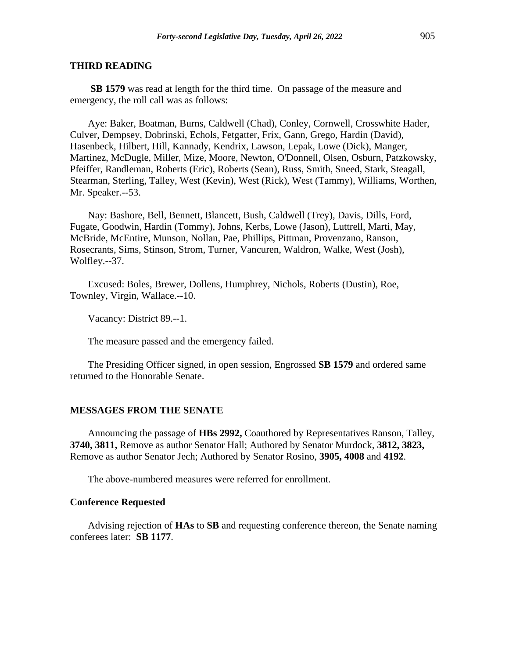**SB 1579** was read at length for the third time. On passage of the measure and emergency, the roll call was as follows:

Aye: Baker, Boatman, Burns, Caldwell (Chad), Conley, Cornwell, Crosswhite Hader, Culver, Dempsey, Dobrinski, Echols, Fetgatter, Frix, Gann, Grego, Hardin (David), Hasenbeck, Hilbert, Hill, Kannady, Kendrix, Lawson, Lepak, Lowe (Dick), Manger, Martinez, McDugle, Miller, Mize, Moore, Newton, O'Donnell, Olsen, Osburn, Patzkowsky, Pfeiffer, Randleman, Roberts (Eric), Roberts (Sean), Russ, Smith, Sneed, Stark, Steagall, Stearman, Sterling, Talley, West (Kevin), West (Rick), West (Tammy), Williams, Worthen, Mr. Speaker.--53.

Nay: Bashore, Bell, Bennett, Blancett, Bush, Caldwell (Trey), Davis, Dills, Ford, Fugate, Goodwin, Hardin (Tommy), Johns, Kerbs, Lowe (Jason), Luttrell, Marti, May, McBride, McEntire, Munson, Nollan, Pae, Phillips, Pittman, Provenzano, Ranson, Rosecrants, Sims, Stinson, Strom, Turner, Vancuren, Waldron, Walke, West (Josh), Wolfley.--37.

Excused: Boles, Brewer, Dollens, Humphrey, Nichols, Roberts (Dustin), Roe, Townley, Virgin, Wallace.--10.

Vacancy: District 89.--1.

The measure passed and the emergency failed.

The Presiding Officer signed, in open session, Engrossed **SB 1579** and ordered same returned to the Honorable Senate.

#### **MESSAGES FROM THE SENATE**

Announcing the passage of **HBs 2992,** Coauthored by Representatives Ranson, Talley, **3740, 3811,** Remove as author Senator Hall; Authored by Senator Murdock, **3812, 3823,** Remove as author Senator Jech; Authored by Senator Rosino, **3905, 4008** and **4192**.

The above-numbered measures were referred for enrollment.

#### **Conference Requested**

Advising rejection of **HAs** to **SB** and requesting conference thereon, the Senate naming conferees later: **SB 1177**.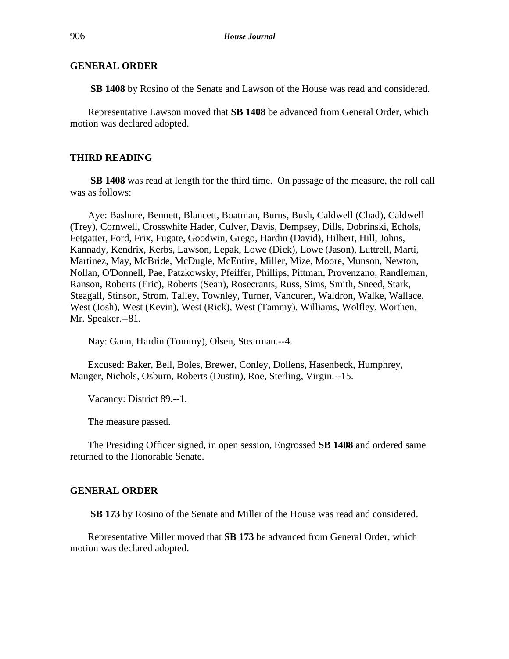**SB 1408** by Rosino of the Senate and Lawson of the House was read and considered.

Representative Lawson moved that **SB 1408** be advanced from General Order, which motion was declared adopted.

## **THIRD READING**

**SB 1408** was read at length for the third time. On passage of the measure, the roll call was as follows:

Aye: Bashore, Bennett, Blancett, Boatman, Burns, Bush, Caldwell (Chad), Caldwell (Trey), Cornwell, Crosswhite Hader, Culver, Davis, Dempsey, Dills, Dobrinski, Echols, Fetgatter, Ford, Frix, Fugate, Goodwin, Grego, Hardin (David), Hilbert, Hill, Johns, Kannady, Kendrix, Kerbs, Lawson, Lepak, Lowe (Dick), Lowe (Jason), Luttrell, Marti, Martinez, May, McBride, McDugle, McEntire, Miller, Mize, Moore, Munson, Newton, Nollan, O'Donnell, Pae, Patzkowsky, Pfeiffer, Phillips, Pittman, Provenzano, Randleman, Ranson, Roberts (Eric), Roberts (Sean), Rosecrants, Russ, Sims, Smith, Sneed, Stark, Steagall, Stinson, Strom, Talley, Townley, Turner, Vancuren, Waldron, Walke, Wallace, West (Josh), West (Kevin), West (Rick), West (Tammy), Williams, Wolfley, Worthen, Mr. Speaker.--81.

Nay: Gann, Hardin (Tommy), Olsen, Stearman.--4.

Excused: Baker, Bell, Boles, Brewer, Conley, Dollens, Hasenbeck, Humphrey, Manger, Nichols, Osburn, Roberts (Dustin), Roe, Sterling, Virgin.--15.

Vacancy: District 89.--1.

The measure passed.

The Presiding Officer signed, in open session, Engrossed **SB 1408** and ordered same returned to the Honorable Senate.

#### **GENERAL ORDER**

**SB 173** by Rosino of the Senate and Miller of the House was read and considered.

Representative Miller moved that **SB 173** be advanced from General Order, which motion was declared adopted.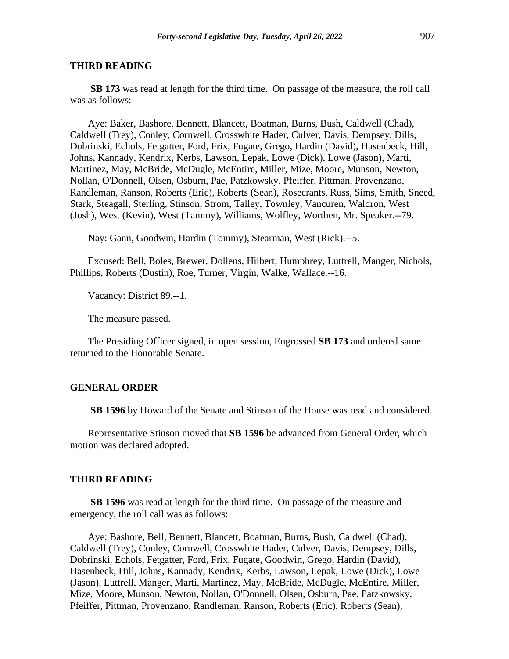**SB 173** was read at length for the third time. On passage of the measure, the roll call was as follows:

Aye: Baker, Bashore, Bennett, Blancett, Boatman, Burns, Bush, Caldwell (Chad), Caldwell (Trey), Conley, Cornwell, Crosswhite Hader, Culver, Davis, Dempsey, Dills, Dobrinski, Echols, Fetgatter, Ford, Frix, Fugate, Grego, Hardin (David), Hasenbeck, Hill, Johns, Kannady, Kendrix, Kerbs, Lawson, Lepak, Lowe (Dick), Lowe (Jason), Marti, Martinez, May, McBride, McDugle, McEntire, Miller, Mize, Moore, Munson, Newton, Nollan, O'Donnell, Olsen, Osburn, Pae, Patzkowsky, Pfeiffer, Pittman, Provenzano, Randleman, Ranson, Roberts (Eric), Roberts (Sean), Rosecrants, Russ, Sims, Smith, Sneed, Stark, Steagall, Sterling, Stinson, Strom, Talley, Townley, Vancuren, Waldron, West (Josh), West (Kevin), West (Tammy), Williams, Wolfley, Worthen, Mr. Speaker.--79.

Nay: Gann, Goodwin, Hardin (Tommy), Stearman, West (Rick).--5.

Excused: Bell, Boles, Brewer, Dollens, Hilbert, Humphrey, Luttrell, Manger, Nichols, Phillips, Roberts (Dustin), Roe, Turner, Virgin, Walke, Wallace.--16.

Vacancy: District 89.--1.

The measure passed.

The Presiding Officer signed, in open session, Engrossed **SB 173** and ordered same returned to the Honorable Senate.

## **GENERAL ORDER**

**SB 1596** by Howard of the Senate and Stinson of the House was read and considered.

Representative Stinson moved that **SB 1596** be advanced from General Order, which motion was declared adopted.

#### **THIRD READING**

**SB 1596** was read at length for the third time. On passage of the measure and emergency, the roll call was as follows:

Aye: Bashore, Bell, Bennett, Blancett, Boatman, Burns, Bush, Caldwell (Chad), Caldwell (Trey), Conley, Cornwell, Crosswhite Hader, Culver, Davis, Dempsey, Dills, Dobrinski, Echols, Fetgatter, Ford, Frix, Fugate, Goodwin, Grego, Hardin (David), Hasenbeck, Hill, Johns, Kannady, Kendrix, Kerbs, Lawson, Lepak, Lowe (Dick), Lowe (Jason), Luttrell, Manger, Marti, Martinez, May, McBride, McDugle, McEntire, Miller, Mize, Moore, Munson, Newton, Nollan, O'Donnell, Olsen, Osburn, Pae, Patzkowsky, Pfeiffer, Pittman, Provenzano, Randleman, Ranson, Roberts (Eric), Roberts (Sean),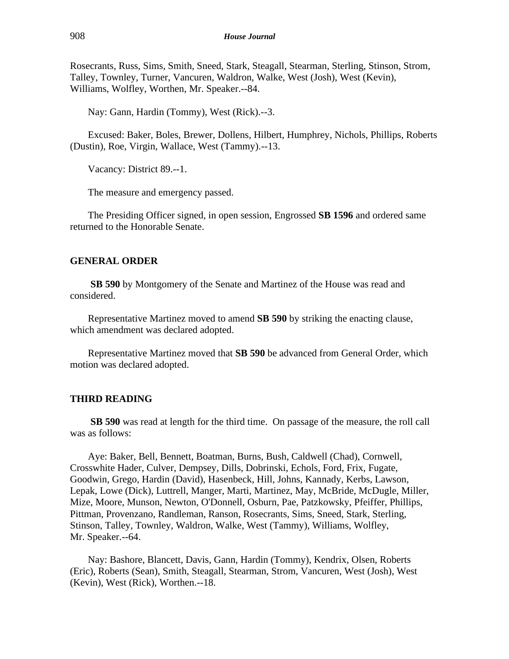Rosecrants, Russ, Sims, Smith, Sneed, Stark, Steagall, Stearman, Sterling, Stinson, Strom, Talley, Townley, Turner, Vancuren, Waldron, Walke, West (Josh), West (Kevin), Williams, Wolfley, Worthen, Mr. Speaker.--84.

Nay: Gann, Hardin (Tommy), West (Rick).--3.

Excused: Baker, Boles, Brewer, Dollens, Hilbert, Humphrey, Nichols, Phillips, Roberts (Dustin), Roe, Virgin, Wallace, West (Tammy).--13.

Vacancy: District 89.--1.

The measure and emergency passed.

The Presiding Officer signed, in open session, Engrossed **SB 1596** and ordered same returned to the Honorable Senate.

## **GENERAL ORDER**

**SB 590** by Montgomery of the Senate and Martinez of the House was read and considered.

Representative Martinez moved to amend **SB 590** by striking the enacting clause, which amendment was declared adopted.

Representative Martinez moved that **SB 590** be advanced from General Order, which motion was declared adopted.

## **THIRD READING**

**SB 590** was read at length for the third time. On passage of the measure, the roll call was as follows:

Aye: Baker, Bell, Bennett, Boatman, Burns, Bush, Caldwell (Chad), Cornwell, Crosswhite Hader, Culver, Dempsey, Dills, Dobrinski, Echols, Ford, Frix, Fugate, Goodwin, Grego, Hardin (David), Hasenbeck, Hill, Johns, Kannady, Kerbs, Lawson, Lepak, Lowe (Dick), Luttrell, Manger, Marti, Martinez, May, McBride, McDugle, Miller, Mize, Moore, Munson, Newton, O'Donnell, Osburn, Pae, Patzkowsky, Pfeiffer, Phillips, Pittman, Provenzano, Randleman, Ranson, Rosecrants, Sims, Sneed, Stark, Sterling, Stinson, Talley, Townley, Waldron, Walke, West (Tammy), Williams, Wolfley, Mr. Speaker.--64.

Nay: Bashore, Blancett, Davis, Gann, Hardin (Tommy), Kendrix, Olsen, Roberts (Eric), Roberts (Sean), Smith, Steagall, Stearman, Strom, Vancuren, West (Josh), West (Kevin), West (Rick), Worthen.--18.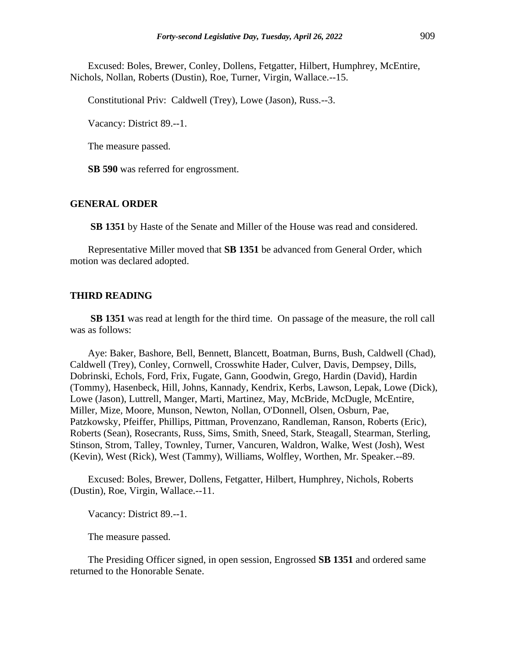Excused: Boles, Brewer, Conley, Dollens, Fetgatter, Hilbert, Humphrey, McEntire, Nichols, Nollan, Roberts (Dustin), Roe, Turner, Virgin, Wallace.--15.

Constitutional Priv: Caldwell (Trey), Lowe (Jason), Russ.--3.

Vacancy: District 89.--1.

The measure passed.

**SB 590** was referred for engrossment.

## **GENERAL ORDER**

**SB 1351** by Haste of the Senate and Miller of the House was read and considered.

Representative Miller moved that **SB 1351** be advanced from General Order, which motion was declared adopted.

#### **THIRD READING**

**SB 1351** was read at length for the third time. On passage of the measure, the roll call was as follows:

Aye: Baker, Bashore, Bell, Bennett, Blancett, Boatman, Burns, Bush, Caldwell (Chad), Caldwell (Trey), Conley, Cornwell, Crosswhite Hader, Culver, Davis, Dempsey, Dills, Dobrinski, Echols, Ford, Frix, Fugate, Gann, Goodwin, Grego, Hardin (David), Hardin (Tommy), Hasenbeck, Hill, Johns, Kannady, Kendrix, Kerbs, Lawson, Lepak, Lowe (Dick), Lowe (Jason), Luttrell, Manger, Marti, Martinez, May, McBride, McDugle, McEntire, Miller, Mize, Moore, Munson, Newton, Nollan, O'Donnell, Olsen, Osburn, Pae, Patzkowsky, Pfeiffer, Phillips, Pittman, Provenzano, Randleman, Ranson, Roberts (Eric), Roberts (Sean), Rosecrants, Russ, Sims, Smith, Sneed, Stark, Steagall, Stearman, Sterling, Stinson, Strom, Talley, Townley, Turner, Vancuren, Waldron, Walke, West (Josh), West (Kevin), West (Rick), West (Tammy), Williams, Wolfley, Worthen, Mr. Speaker.--89.

Excused: Boles, Brewer, Dollens, Fetgatter, Hilbert, Humphrey, Nichols, Roberts (Dustin), Roe, Virgin, Wallace.--11.

Vacancy: District 89.--1.

The measure passed.

The Presiding Officer signed, in open session, Engrossed **SB 1351** and ordered same returned to the Honorable Senate.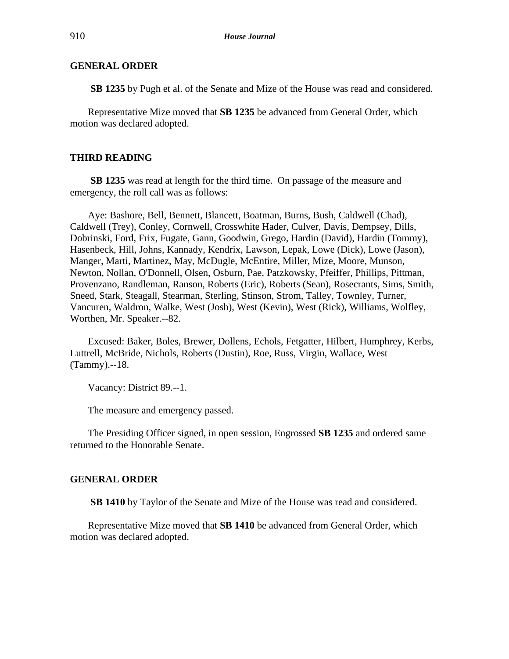**SB 1235** by Pugh et al. of the Senate and Mize of the House was read and considered.

Representative Mize moved that **SB 1235** be advanced from General Order, which motion was declared adopted.

## **THIRD READING**

**SB 1235** was read at length for the third time. On passage of the measure and emergency, the roll call was as follows:

Aye: Bashore, Bell, Bennett, Blancett, Boatman, Burns, Bush, Caldwell (Chad), Caldwell (Trey), Conley, Cornwell, Crosswhite Hader, Culver, Davis, Dempsey, Dills, Dobrinski, Ford, Frix, Fugate, Gann, Goodwin, Grego, Hardin (David), Hardin (Tommy), Hasenbeck, Hill, Johns, Kannady, Kendrix, Lawson, Lepak, Lowe (Dick), Lowe (Jason), Manger, Marti, Martinez, May, McDugle, McEntire, Miller, Mize, Moore, Munson, Newton, Nollan, O'Donnell, Olsen, Osburn, Pae, Patzkowsky, Pfeiffer, Phillips, Pittman, Provenzano, Randleman, Ranson, Roberts (Eric), Roberts (Sean), Rosecrants, Sims, Smith, Sneed, Stark, Steagall, Stearman, Sterling, Stinson, Strom, Talley, Townley, Turner, Vancuren, Waldron, Walke, West (Josh), West (Kevin), West (Rick), Williams, Wolfley, Worthen, Mr. Speaker.--82.

Excused: Baker, Boles, Brewer, Dollens, Echols, Fetgatter, Hilbert, Humphrey, Kerbs, Luttrell, McBride, Nichols, Roberts (Dustin), Roe, Russ, Virgin, Wallace, West (Tammy).--18.

Vacancy: District 89.--1.

The measure and emergency passed.

The Presiding Officer signed, in open session, Engrossed **SB 1235** and ordered same returned to the Honorable Senate.

#### **GENERAL ORDER**

**SB 1410** by Taylor of the Senate and Mize of the House was read and considered.

Representative Mize moved that **SB 1410** be advanced from General Order, which motion was declared adopted.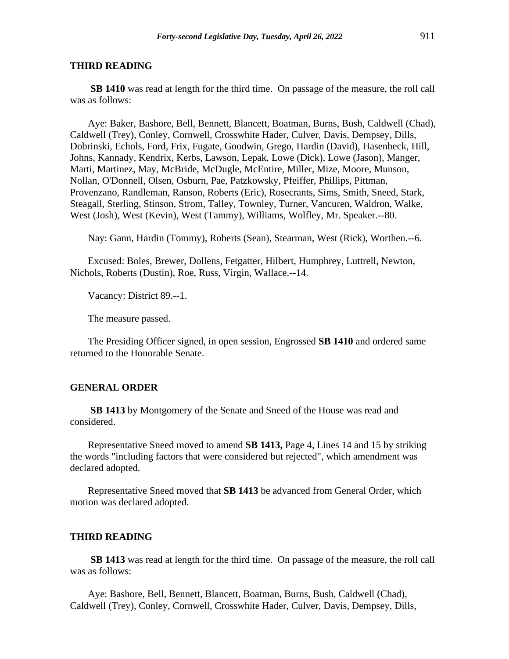**SB 1410** was read at length for the third time. On passage of the measure, the roll call was as follows:

Aye: Baker, Bashore, Bell, Bennett, Blancett, Boatman, Burns, Bush, Caldwell (Chad), Caldwell (Trey), Conley, Cornwell, Crosswhite Hader, Culver, Davis, Dempsey, Dills, Dobrinski, Echols, Ford, Frix, Fugate, Goodwin, Grego, Hardin (David), Hasenbeck, Hill, Johns, Kannady, Kendrix, Kerbs, Lawson, Lepak, Lowe (Dick), Lowe (Jason), Manger, Marti, Martinez, May, McBride, McDugle, McEntire, Miller, Mize, Moore, Munson, Nollan, O'Donnell, Olsen, Osburn, Pae, Patzkowsky, Pfeiffer, Phillips, Pittman, Provenzano, Randleman, Ranson, Roberts (Eric), Rosecrants, Sims, Smith, Sneed, Stark, Steagall, Sterling, Stinson, Strom, Talley, Townley, Turner, Vancuren, Waldron, Walke, West (Josh), West (Kevin), West (Tammy), Williams, Wolfley, Mr. Speaker.--80.

Nay: Gann, Hardin (Tommy), Roberts (Sean), Stearman, West (Rick), Worthen.--6.

Excused: Boles, Brewer, Dollens, Fetgatter, Hilbert, Humphrey, Luttrell, Newton, Nichols, Roberts (Dustin), Roe, Russ, Virgin, Wallace.--14.

Vacancy: District 89.--1.

The measure passed.

The Presiding Officer signed, in open session, Engrossed **SB 1410** and ordered same returned to the Honorable Senate.

#### **GENERAL ORDER**

**SB 1413** by Montgomery of the Senate and Sneed of the House was read and considered.

Representative Sneed moved to amend **SB 1413,** Page 4, Lines 14 and 15 by striking the words "including factors that were considered but rejected", which amendment was declared adopted.

Representative Sneed moved that **SB 1413** be advanced from General Order, which motion was declared adopted.

#### **THIRD READING**

**SB 1413** was read at length for the third time. On passage of the measure, the roll call was as follows:

Aye: Bashore, Bell, Bennett, Blancett, Boatman, Burns, Bush, Caldwell (Chad), Caldwell (Trey), Conley, Cornwell, Crosswhite Hader, Culver, Davis, Dempsey, Dills,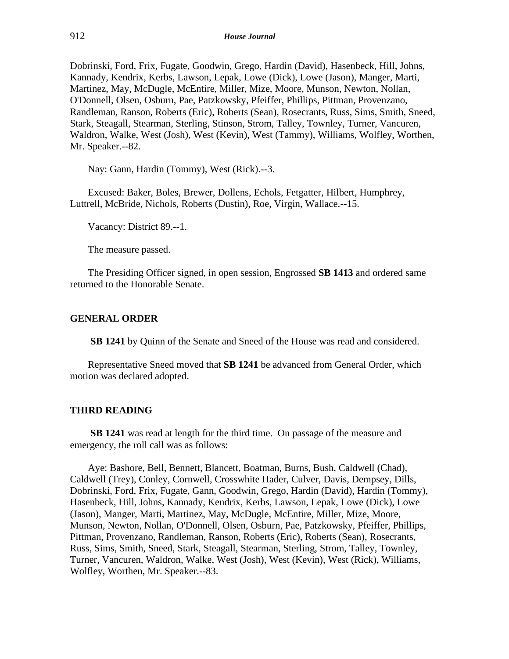Dobrinski, Ford, Frix, Fugate, Goodwin, Grego, Hardin (David), Hasenbeck, Hill, Johns, Kannady, Kendrix, Kerbs, Lawson, Lepak, Lowe (Dick), Lowe (Jason), Manger, Marti, Martinez, May, McDugle, McEntire, Miller, Mize, Moore, Munson, Newton, Nollan, O'Donnell, Olsen, Osburn, Pae, Patzkowsky, Pfeiffer, Phillips, Pittman, Provenzano, Randleman, Ranson, Roberts (Eric), Roberts (Sean), Rosecrants, Russ, Sims, Smith, Sneed, Stark, Steagall, Stearman, Sterling, Stinson, Strom, Talley, Townley, Turner, Vancuren, Waldron, Walke, West (Josh), West (Kevin), West (Tammy), Williams, Wolfley, Worthen, Mr. Speaker.--82.

Nay: Gann, Hardin (Tommy), West (Rick).--3.

Excused: Baker, Boles, Brewer, Dollens, Echols, Fetgatter, Hilbert, Humphrey, Luttrell, McBride, Nichols, Roberts (Dustin), Roe, Virgin, Wallace.--15.

Vacancy: District 89.--1.

The measure passed.

The Presiding Officer signed, in open session, Engrossed **SB 1413** and ordered same returned to the Honorable Senate.

#### **GENERAL ORDER**

**SB 1241** by Quinn of the Senate and Sneed of the House was read and considered.

Representative Sneed moved that **SB 1241** be advanced from General Order, which motion was declared adopted.

#### **THIRD READING**

**SB 1241** was read at length for the third time. On passage of the measure and emergency, the roll call was as follows:

Aye: Bashore, Bell, Bennett, Blancett, Boatman, Burns, Bush, Caldwell (Chad), Caldwell (Trey), Conley, Cornwell, Crosswhite Hader, Culver, Davis, Dempsey, Dills, Dobrinski, Ford, Frix, Fugate, Gann, Goodwin, Grego, Hardin (David), Hardin (Tommy), Hasenbeck, Hill, Johns, Kannady, Kendrix, Kerbs, Lawson, Lepak, Lowe (Dick), Lowe (Jason), Manger, Marti, Martinez, May, McDugle, McEntire, Miller, Mize, Moore, Munson, Newton, Nollan, O'Donnell, Olsen, Osburn, Pae, Patzkowsky, Pfeiffer, Phillips, Pittman, Provenzano, Randleman, Ranson, Roberts (Eric), Roberts (Sean), Rosecrants, Russ, Sims, Smith, Sneed, Stark, Steagall, Stearman, Sterling, Strom, Talley, Townley, Turner, Vancuren, Waldron, Walke, West (Josh), West (Kevin), West (Rick), Williams, Wolfley, Worthen, Mr. Speaker.--83.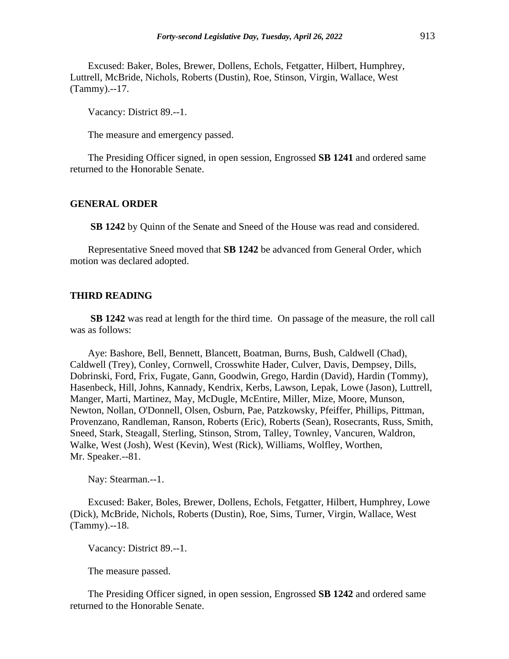Excused: Baker, Boles, Brewer, Dollens, Echols, Fetgatter, Hilbert, Humphrey, Luttrell, McBride, Nichols, Roberts (Dustin), Roe, Stinson, Virgin, Wallace, West (Tammy).--17.

Vacancy: District 89.--1.

The measure and emergency passed.

The Presiding Officer signed, in open session, Engrossed **SB 1241** and ordered same returned to the Honorable Senate.

#### **GENERAL ORDER**

**SB 1242** by Quinn of the Senate and Sneed of the House was read and considered.

Representative Sneed moved that **SB 1242** be advanced from General Order, which motion was declared adopted.

## **THIRD READING**

**SB 1242** was read at length for the third time. On passage of the measure, the roll call was as follows:

Aye: Bashore, Bell, Bennett, Blancett, Boatman, Burns, Bush, Caldwell (Chad), Caldwell (Trey), Conley, Cornwell, Crosswhite Hader, Culver, Davis, Dempsey, Dills, Dobrinski, Ford, Frix, Fugate, Gann, Goodwin, Grego, Hardin (David), Hardin (Tommy), Hasenbeck, Hill, Johns, Kannady, Kendrix, Kerbs, Lawson, Lepak, Lowe (Jason), Luttrell, Manger, Marti, Martinez, May, McDugle, McEntire, Miller, Mize, Moore, Munson, Newton, Nollan, O'Donnell, Olsen, Osburn, Pae, Patzkowsky, Pfeiffer, Phillips, Pittman, Provenzano, Randleman, Ranson, Roberts (Eric), Roberts (Sean), Rosecrants, Russ, Smith, Sneed, Stark, Steagall, Sterling, Stinson, Strom, Talley, Townley, Vancuren, Waldron, Walke, West (Josh), West (Kevin), West (Rick), Williams, Wolfley, Worthen, Mr. Speaker.--81.

Nay: Stearman.--1.

Excused: Baker, Boles, Brewer, Dollens, Echols, Fetgatter, Hilbert, Humphrey, Lowe (Dick), McBride, Nichols, Roberts (Dustin), Roe, Sims, Turner, Virgin, Wallace, West (Tammy).--18.

Vacancy: District 89.--1.

The measure passed.

The Presiding Officer signed, in open session, Engrossed **SB 1242** and ordered same returned to the Honorable Senate.